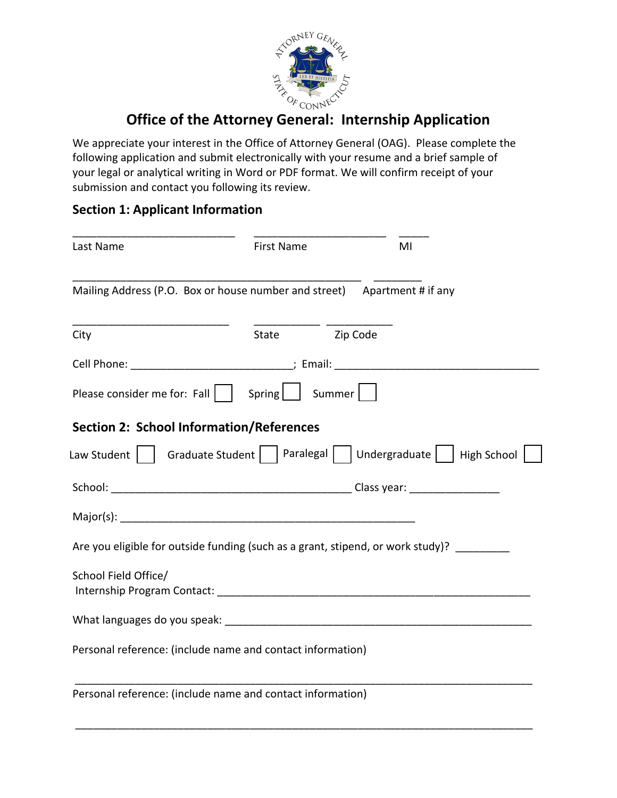

# **Office of the Attorney General: Internship Application**

We appreciate your interest in the Office of Attorney General (OAG). Please complete the following application and submit electronically with your resume and a brief sample of your legal or analytical writing in Word or PDF format. We will confirm receipt of your submission and contact you following its review.

## **Section 1: Applicant Information**

| Last Name                                                                                                                                                                                                                                                                                   | First Name |                | MI |
|---------------------------------------------------------------------------------------------------------------------------------------------------------------------------------------------------------------------------------------------------------------------------------------------|------------|----------------|----|
| Mailing Address (P.O. Box or house number and street) Apartment # if any                                                                                                                                                                                                                    |            |                |    |
| City                                                                                                                                                                                                                                                                                        |            | State Zip Code |    |
| Cell Phone: _______________________________; Email: ____________________________                                                                                                                                                                                                            |            |                |    |
| Please consider me for: Fall     Spring     Summer                                                                                                                                                                                                                                          |            |                |    |
| <b>Section 2: School Information/References</b>                                                                                                                                                                                                                                             |            |                |    |
| Law Student $\begin{array}{ c c c c c }\hline \end{array}$ Graduate Student $\begin{array}{ c c c c }\hline \end{array}$ Paralegal $\begin{array}{ c c c }\hline \end{array}$ Undergraduate $\begin{array}{ c c c }\hline \end{array}$ High School $\begin{array}{ c c }\hline \end{array}$ |            |                |    |
|                                                                                                                                                                                                                                                                                             |            |                |    |
|                                                                                                                                                                                                                                                                                             |            |                |    |
| Are you eligible for outside funding (such as a grant, stipend, or work study)?                                                                                                                                                                                                             |            |                |    |
| School Field Office/                                                                                                                                                                                                                                                                        |            |                |    |
| What languages do you speak: What languages of the state of the state of the state of the state of the state of the state of the state of the state of the state of the state of the state of the state of the state of the st                                                              |            |                |    |
| Personal reference: (include name and contact information)                                                                                                                                                                                                                                  |            |                |    |
| Personal reference: (include name and contact information)                                                                                                                                                                                                                                  |            |                |    |

\_\_\_\_\_\_\_\_\_\_\_\_\_\_\_\_\_\_\_\_\_\_\_\_\_\_\_\_\_\_\_\_\_\_\_\_\_\_\_\_\_\_\_\_\_\_\_\_\_\_\_\_\_\_\_\_\_\_\_\_\_\_\_\_\_\_\_\_\_\_\_\_\_\_\_\_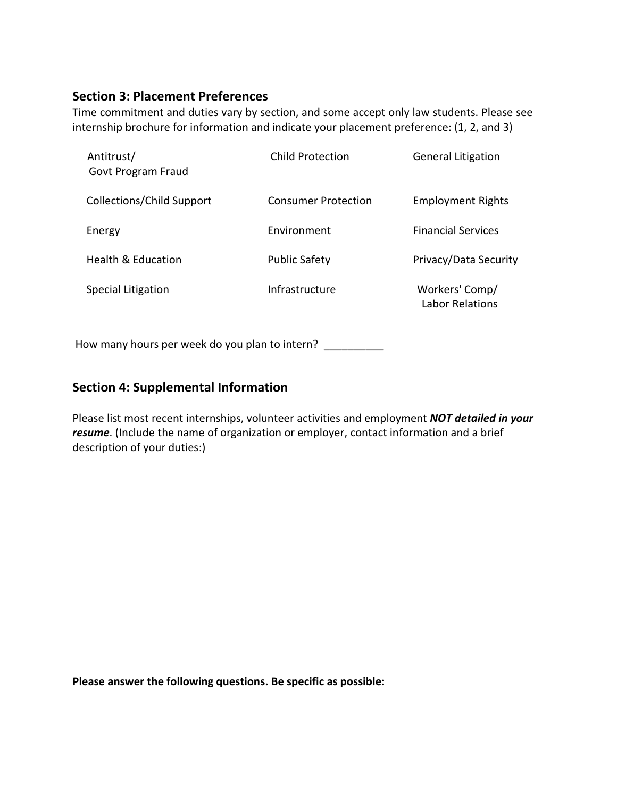## **Section 3: Placement Preferences**

Time commitment and duties vary by section, and some accept only law students. Please see internship brochure for information and indicate your placement preference: (1, 2, and 3)

| Antitrust/<br>Govt Program Fraud | Child Protection           | <b>General Litigation</b>         |
|----------------------------------|----------------------------|-----------------------------------|
| Collections/Child Support        | <b>Consumer Protection</b> | <b>Employment Rights</b>          |
| Energy                           | Fnvironment                | <b>Financial Services</b>         |
| Health & Education               | <b>Public Safety</b>       | Privacy/Data Security             |
| <b>Special Litigation</b>        | Infrastructure             | Workers' Comp/<br>Labor Relations |

How many hours per week do you plan to intern?

#### **Section 4: Supplemental Information**

Please list most recent internships, volunteer activities and employment *NOT detailed in your resume*. (Include the name of organization or employer, contact information and a brief description of your duties:)

**Please answer the following questions. Be specific as possible:**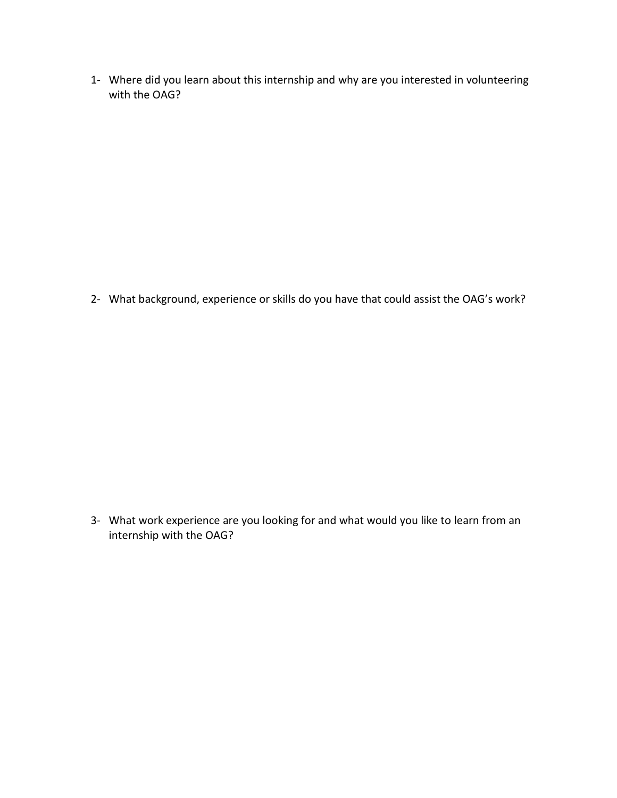1- Where did you learn about this internship and why are you interested in volunteering with the OAG?

2- What background, experience or skills do you have that could assist the OAG's work?

3- What work experience are you looking for and what would you like to learn from an internship with the OAG?